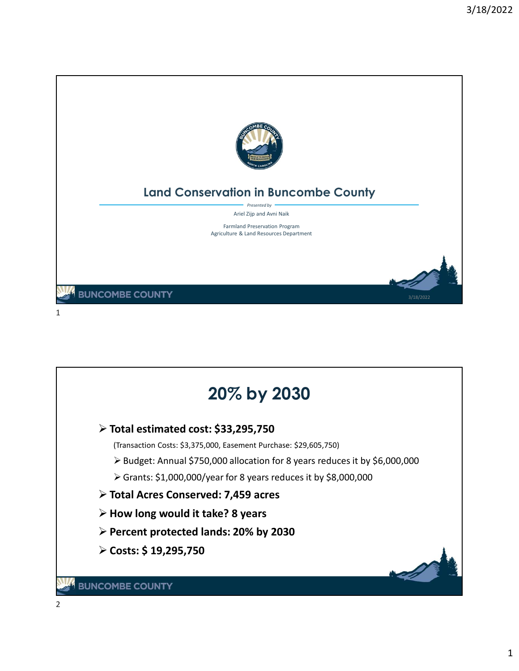

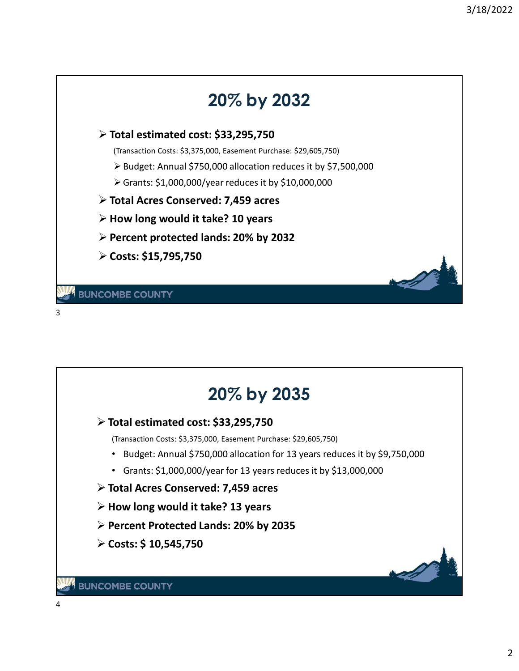